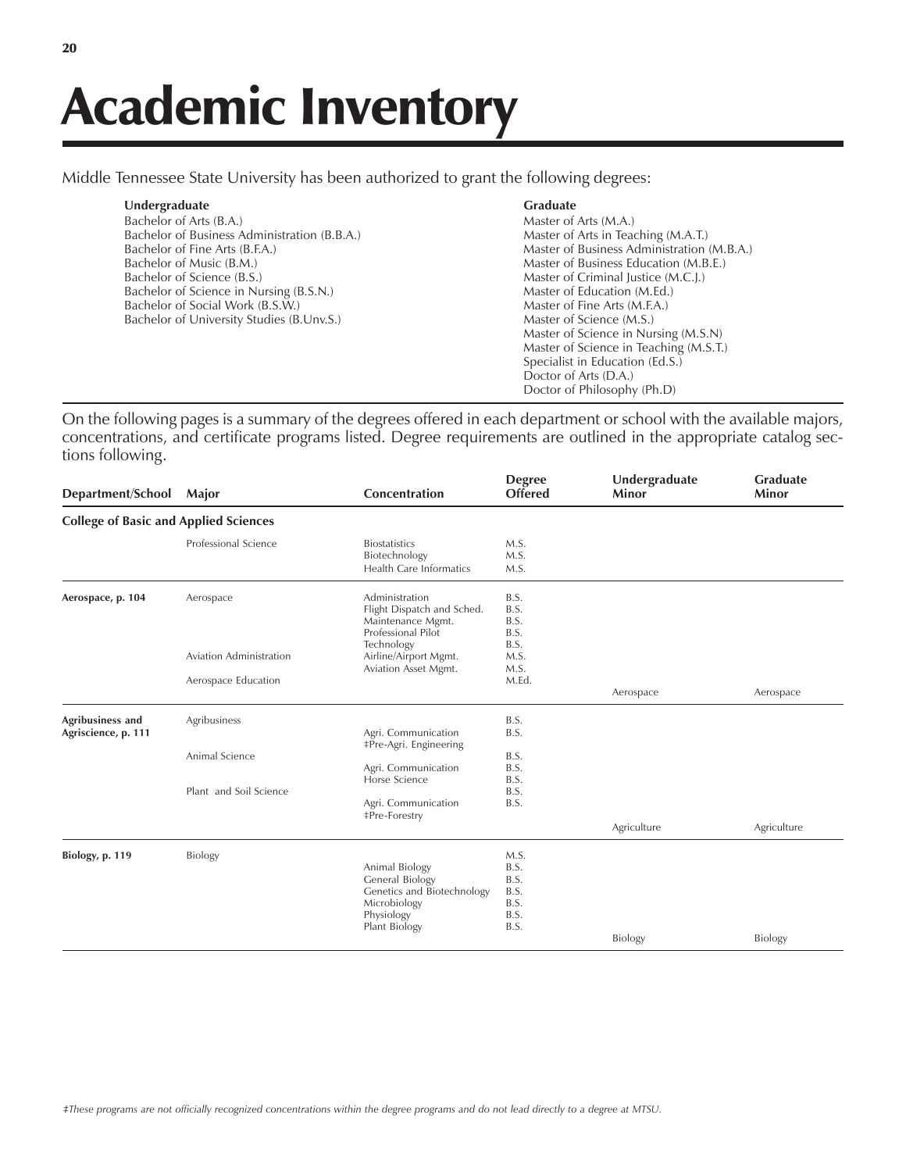Middle Tennessee State University has been authorized to grant the following degrees:

| Undergraduate                                | <b>Graduate</b>                            |
|----------------------------------------------|--------------------------------------------|
| Bachelor of Arts (B.A.)                      | Master of Arts (M.A.)                      |
| Bachelor of Business Administration (B.B.A.) | Master of Arts in Teaching (M.A.T.)        |
| Bachelor of Fine Arts (B.F.A.)               | Master of Business Administration (M.B.A.) |
| Bachelor of Music (B.M.)                     | Master of Business Education (M.B.E.)      |
| Bachelor of Science (B.S.)                   | Master of Criminal Justice (M.C.J.)        |
| Bachelor of Science in Nursing (B.S.N.)      | Master of Education (M.Ed.)                |
| Bachelor of Social Work (B.S.W.)             | Master of Fine Arts (M.F.A.)               |
| Bachelor of University Studies (B.Unv.S.)    | Master of Science (M.S.)                   |
|                                              | Master of Science in Nursing (M.S.N)       |
|                                              | Master of Science in Teaching (M.S.T.)     |
|                                              | Specialist in Education (Ed.S.)            |
|                                              | Doctor of Arts (D.A.)                      |
|                                              | Doctor of Philosophy (Ph.D)                |
|                                              |                                            |

On the following pages is a summary of the degrees offered in each department or school with the available majors, concentrations, and certificate programs listed. Degree requirements are outlined in the appropriate catalog sections following.

| Department/School                            | Major                   | Concentration                                                                                                         | <b>Degree</b><br><b>Offered</b>                      | Undergraduate<br><b>Minor</b> | <b>Graduate</b><br>Minor |
|----------------------------------------------|-------------------------|-----------------------------------------------------------------------------------------------------------------------|------------------------------------------------------|-------------------------------|--------------------------|
| <b>College of Basic and Applied Sciences</b> |                         |                                                                                                                       |                                                      |                               |                          |
|                                              | Professional Science    | <b>Biostatistics</b><br>Biotechnology<br>Health Care Informatics                                                      | M.S.<br>M.S.<br>M.S.                                 |                               |                          |
| Aerospace, p. 104                            | Aerospace               | Administration<br>Flight Dispatch and Sched.<br>Maintenance Mgmt.<br>Professional Pilot<br>Technology                 | B.S.<br>B.S.<br>B.S.<br>B.S.<br>B.S.                 |                               |                          |
|                                              | Aviation Administration | Airline/Airport Mgmt.<br>Aviation Asset Mgmt.                                                                         | M.S.<br>M.S.                                         |                               |                          |
|                                              | Aerospace Education     |                                                                                                                       | M.Ed.                                                | Aerospace                     | Aerospace                |
| Agribusiness and<br>Agriscience, p. 111      | Agribusiness            | Agri. Communication<br>‡Pre-Agri. Engineering                                                                         | B.S.<br>B.S.                                         |                               |                          |
|                                              | Animal Science          | Agri. Communication<br>Horse Science                                                                                  | B.S.<br>B.S.<br>B.S.                                 |                               |                          |
|                                              | Plant and Soil Science  | Agri. Communication<br><b>‡Pre-Forestry</b>                                                                           | B.S.<br>B.S.                                         |                               |                          |
|                                              |                         |                                                                                                                       |                                                      | Agriculture                   | Agriculture              |
| Biology, p. 119                              | <b>Biology</b>          | Animal Biology<br><b>General Biology</b><br>Genetics and Biotechnology<br>Microbiology<br>Physiology<br>Plant Biology | M.S.<br>B.S.<br>B.S.<br>B.S.<br>B.S.<br>B.S.<br>B.S. |                               |                          |
|                                              |                         |                                                                                                                       |                                                      | <b>Biology</b>                | Biology                  |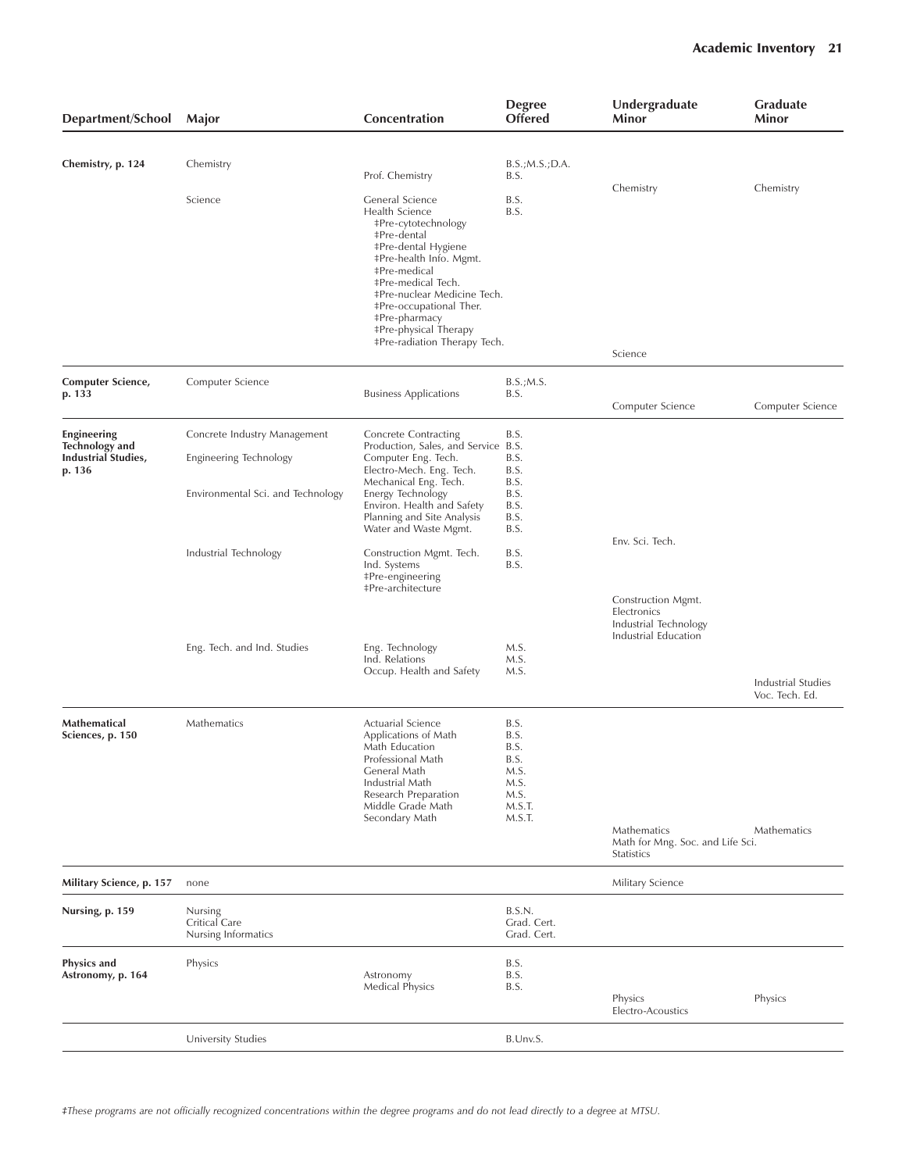| Department/School                                             | Major                                           | Concentration                                                                                                                                                                                                                                                                                                                   | <b>Degree</b><br><b>Offered</b>                                          | Undergraduate<br>Minor                                                             | <b>Graduate</b><br>Minor             |
|---------------------------------------------------------------|-------------------------------------------------|---------------------------------------------------------------------------------------------------------------------------------------------------------------------------------------------------------------------------------------------------------------------------------------------------------------------------------|--------------------------------------------------------------------------|------------------------------------------------------------------------------------|--------------------------------------|
| Chemistry, p. 124                                             | Chemistry                                       | Prof. Chemistry                                                                                                                                                                                                                                                                                                                 | B.S.; M.S.; D.A.<br>B.S.                                                 |                                                                                    |                                      |
|                                                               | Science                                         | General Science<br>Health Science<br>‡Pre-cytotechnology<br><b>‡Pre-dental</b><br>#Pre-dental Hygiene<br>‡Pre-health Info. Mgmt.<br><b>‡Pre-medical</b><br><b>‡Pre-medical Tech.</b><br>‡Pre-nuclear Medicine Tech.<br>‡Pre-occupational Ther.<br>‡Pre-pharmacy<br><b>‡Pre-physical Therapy</b><br>‡Pre-radiation Therapy Tech. | B.S.<br>B.S.                                                             | Chemistry                                                                          | Chemistry                            |
|                                                               |                                                 |                                                                                                                                                                                                                                                                                                                                 |                                                                          | Science                                                                            |                                      |
| Computer Science,<br>p. 133                                   | Computer Science                                | <b>Business Applications</b>                                                                                                                                                                                                                                                                                                    | B.S.; M.S.<br>B.S.                                                       | Computer Science                                                                   | Computer Science                     |
| Engineering                                                   | Concrete Industry Management                    | <b>Concrete Contracting</b>                                                                                                                                                                                                                                                                                                     | B.S.                                                                     |                                                                                    |                                      |
| <b>Technology and</b><br><b>Industrial Studies,</b><br>p. 136 | Engineering Technology                          | Production, Sales, and Service B.S.<br>Computer Eng. Tech.<br>Electro-Mech. Eng. Tech.<br>Mechanical Eng. Tech.<br>Energy Technology<br>Environ. Health and Safety<br>Planning and Site Analysis<br>Water and Waste Mgmt.                                                                                                       | B.S.<br>B.S.                                                             |                                                                                    |                                      |
|                                                               | Environmental Sci. and Technology               |                                                                                                                                                                                                                                                                                                                                 | B.S.<br>B.S.<br>B.S.<br>B.S.<br>B.S.                                     |                                                                                    |                                      |
|                                                               | Industrial Technology                           | Construction Mgmt. Tech.<br>Ind. Systems<br>‡Pre-engineering<br><b>‡Pre-architecture</b>                                                                                                                                                                                                                                        | B.S.<br>B.S.                                                             | Env. Sci. Tech.                                                                    |                                      |
|                                                               |                                                 |                                                                                                                                                                                                                                                                                                                                 |                                                                          | Construction Mgmt.<br>Electronics<br>Industrial Technology<br>Industrial Education |                                      |
|                                                               | Eng. Tech. and Ind. Studies                     | Eng. Technology<br>Ind. Relations                                                                                                                                                                                                                                                                                               | M.S.<br>M.S.                                                             |                                                                                    |                                      |
|                                                               |                                                 | Occup. Health and Safety                                                                                                                                                                                                                                                                                                        | M.S.                                                                     |                                                                                    | Industrial Studies<br>Voc. Tech. Ed. |
| Mathematical<br>Sciences, p. 150                              | Mathematics                                     | Actuarial Science<br>Applications of Math<br>Math Education<br>Professional Math<br>General Math<br>Industrial Math<br>Research Preparation<br>Middle Grade Math<br>Secondary Math                                                                                                                                              | B.S.<br>B.S.<br>B.S.<br>B.S.<br>M.S.<br>M.S.<br>M.S.<br>M.S.T.<br>M.S.T. |                                                                                    |                                      |
|                                                               |                                                 |                                                                                                                                                                                                                                                                                                                                 |                                                                          | Mathematics<br>Math for Mng. Soc. and Life Sci.<br>Statistics                      | Mathematics                          |
| Military Science, p. 157                                      | none                                            |                                                                                                                                                                                                                                                                                                                                 |                                                                          | Military Science                                                                   |                                      |
| Nursing, p. 159                                               | Nursing<br>Critical Care<br>Nursing Informatics |                                                                                                                                                                                                                                                                                                                                 | B.S.N.<br>Grad. Cert.<br>Grad. Cert.                                     |                                                                                    |                                      |
| <b>Physics and</b><br>Astronomy, p. 164                       | Physics                                         | Astronomy<br><b>Medical Physics</b>                                                                                                                                                                                                                                                                                             | B.S.<br>B.S.<br>B.S.                                                     | Physics<br>Electro-Acoustics                                                       | Physics                              |
|                                                               | University Studies                              |                                                                                                                                                                                                                                                                                                                                 | B.Unv.S.                                                                 |                                                                                    |                                      |
|                                                               |                                                 |                                                                                                                                                                                                                                                                                                                                 |                                                                          |                                                                                    |                                      |

*áThese programs are not officially recognized concentrations within the degree programs and do not lead directly to a degree at MTSU.*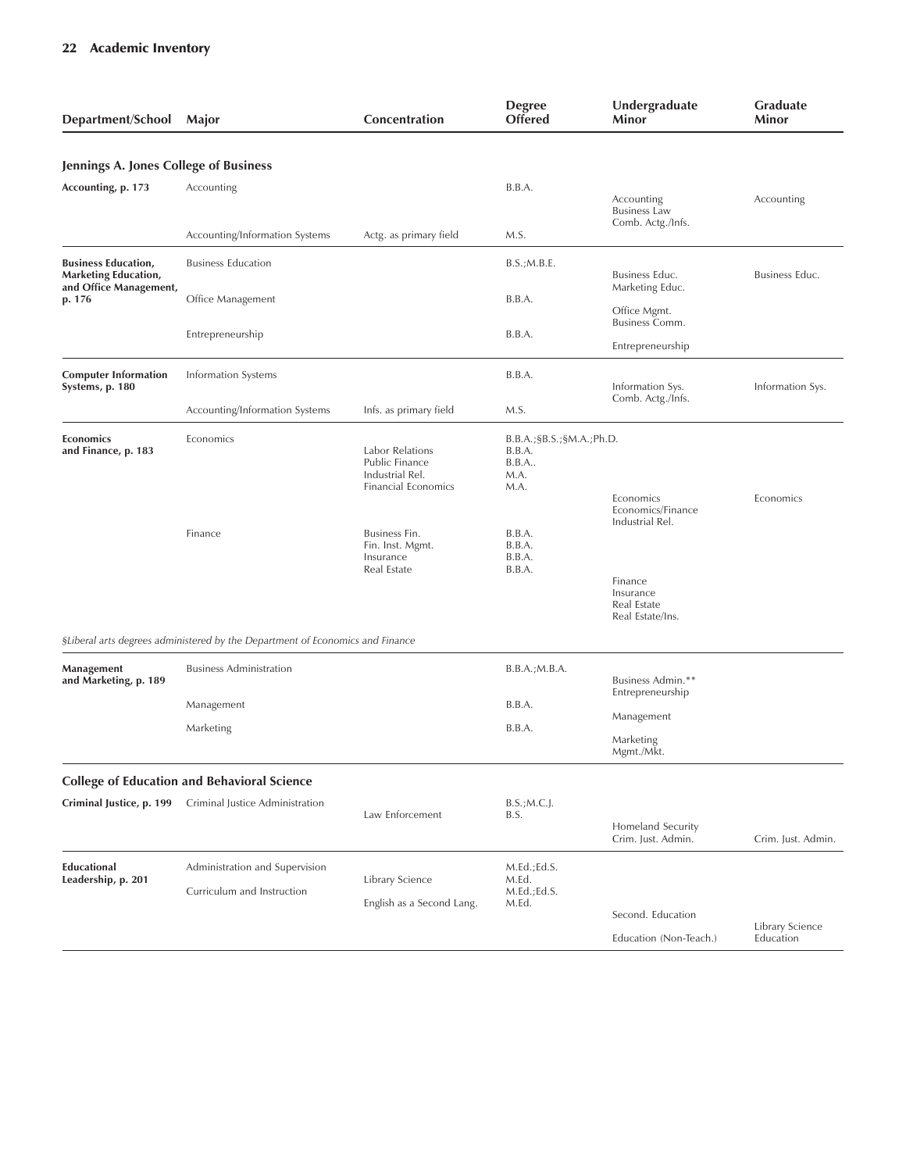| Department/School Major                                                      |                                                                               | Concentration                                                               | <b>Degree</b><br><b>Offered</b>                                   | Undergraduate<br>Minor                                                                          | <b>Graduate</b><br>Minor     |
|------------------------------------------------------------------------------|-------------------------------------------------------------------------------|-----------------------------------------------------------------------------|-------------------------------------------------------------------|-------------------------------------------------------------------------------------------------|------------------------------|
|                                                                              |                                                                               |                                                                             |                                                                   |                                                                                                 |                              |
| Jennings A. Jones College of Business                                        |                                                                               |                                                                             |                                                                   |                                                                                                 |                              |
| Accounting, p. 173                                                           | Accounting                                                                    |                                                                             | B.B.A.                                                            | Accounting<br><b>Business Law</b>                                                               | Accounting                   |
|                                                                              | Accounting/Information Systems                                                | Actg. as primary field                                                      | M.S.                                                              | Comb. Actg./Infs.                                                                               |                              |
| <b>Business Education,</b><br>Marketing Education,<br>and Office Management, | <b>Business Education</b>                                                     |                                                                             | B.S.; M.B.E.                                                      | Business Educ.<br>Marketing Educ.                                                               | Business Educ.               |
| p. 176                                                                       | Office Management                                                             |                                                                             | B.B.A.                                                            | Office Mgmt.<br>Business Comm.                                                                  |                              |
|                                                                              | Entrepreneurship                                                              |                                                                             | B.B.A.                                                            | Entrepreneurship                                                                                |                              |
| <b>Computer Information</b><br>Systems, p. 180                               | Information Systems                                                           |                                                                             | B.B.A.                                                            | Information Sys.                                                                                | Information Sys.             |
|                                                                              | Accounting/Information Systems                                                | Infs. as primary field                                                      | M.S.                                                              | Comb. Actg./Infs.                                                                               |                              |
| <b>Economics</b><br>and Finance, p. 183                                      | Economics                                                                     | Labor Relations<br>Public Finance<br>Industrial Rel.<br>Financial Economics | B.B.A.; \$B.S.; \$M.A.; Ph.D.<br>B.B.A.<br>B.B.A.<br>M.A.<br>M.A. | Economics                                                                                       | Economics                    |
|                                                                              | Finance                                                                       | Business Fin.<br>Fin. Inst. Mgmt.<br>Insurance<br>Real Estate               | B.B.A.<br>B.B.A.<br>B.B.A.<br>B.B.A.                              | Economics/Finance<br>Industrial Rel.<br>Finance<br>Insurance<br>Real Estate<br>Real Estate/Ins. |                              |
|                                                                              | §Liberal arts degrees administered by the Department of Economics and Finance |                                                                             |                                                                   |                                                                                                 |                              |
| Management<br>and Marketing, p. 189                                          | <b>Business Administration</b>                                                |                                                                             | B.B.A.; M.B.A.                                                    | Business Admin.**<br>Entrepreneurship                                                           |                              |
|                                                                              | Management                                                                    |                                                                             | B.B.A.                                                            | Management                                                                                      |                              |
|                                                                              | Marketing                                                                     |                                                                             | B.B.A.                                                            | Marketing<br>Mgmt./Mkt.                                                                         |                              |
|                                                                              | <b>College of Education and Behavioral Science</b>                            |                                                                             |                                                                   |                                                                                                 |                              |
| Criminal Justice, p. 199                                                     | Criminal Justice Administration                                               | Law Enforcement                                                             | $B.S.;M.C.$<br>B.S.                                               | Homeland Security<br>Crim. Just. Admin.                                                         | Crim. Just. Admin.           |
| <b>Educational</b><br>Leadership, p. 201                                     | Administration and Supervision<br>Curriculum and Instruction                  | Library Science<br>English as a Second Lang.                                | M.Ed.; Ed.S.<br>M.Ed.<br>M.Ed.; Ed.S.<br>M.Ed.                    |                                                                                                 |                              |
|                                                                              |                                                                               |                                                                             |                                                                   | Second. Education<br>Education (Non-Teach.)                                                     | Library Science<br>Education |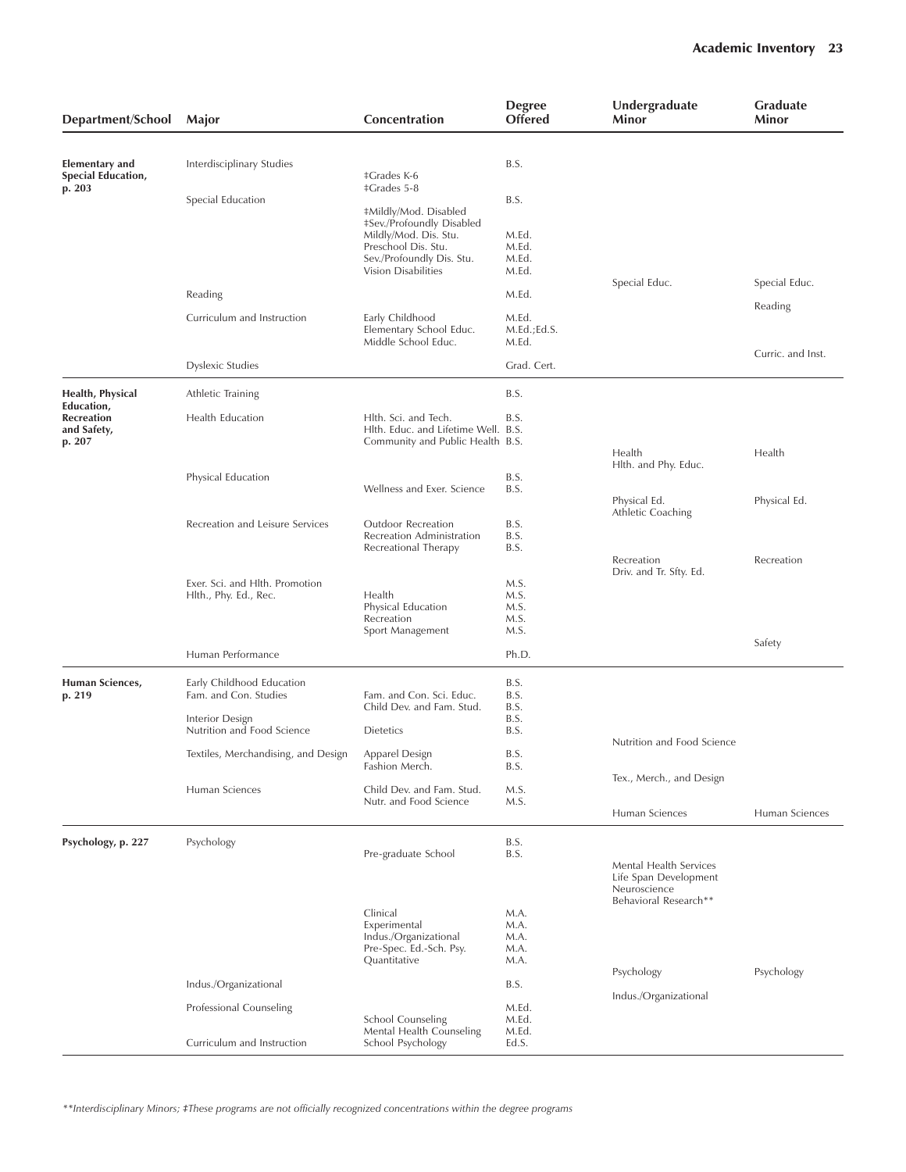| Department/School                                        | Major                                                                                                                                      | Concentration                                                                                                                                                                                             | <b>Degree</b><br><b>Offered</b>                  | Undergraduate<br>Minor                                          | <b>Graduate</b><br>Minor |
|----------------------------------------------------------|--------------------------------------------------------------------------------------------------------------------------------------------|-----------------------------------------------------------------------------------------------------------------------------------------------------------------------------------------------------------|--------------------------------------------------|-----------------------------------------------------------------|--------------------------|
| Elementary and<br><b>Special Education,</b><br>p. 203    | Interdisciplinary Studies<br>Special Education                                                                                             | <b>‡Grades K-6</b><br><b>‡Grades 5-8</b><br>#Mildly/Mod. Disabled<br>#Sev./Profoundly Disabled<br>Mildly/Mod. Dis. Stu.<br>Preschool Dis. Stu.<br>Sev./Profoundly Dis. Stu.<br><b>Vision Disabilities</b> | B.S.<br>B.S.<br>M.Ed.<br>M.Ed.<br>M.Ed.<br>M.Ed. | Special Educ.                                                   | Special Educ.            |
|                                                          | Reading                                                                                                                                    |                                                                                                                                                                                                           | M.Ed.                                            |                                                                 | Reading                  |
|                                                          | Curriculum and Instruction                                                                                                                 | Early Childhood<br>Elementary School Educ.<br>Middle School Educ.                                                                                                                                         | M.Ed.<br>M.Ed.;Ed.S.<br>M.Ed.                    |                                                                 | Curric. and Inst.        |
|                                                          | <b>Dyslexic Studies</b>                                                                                                                    |                                                                                                                                                                                                           | Grad. Cert.                                      |                                                                 |                          |
| Health, Physical                                         | Athletic Training                                                                                                                          |                                                                                                                                                                                                           | B.S.                                             |                                                                 |                          |
| Education,<br><b>Recreation</b><br>and Safety,<br>p. 207 | Health Education                                                                                                                           | Hlth. Sci. and Tech.<br>Hlth. Educ. and Lifetime Well. B.S.<br>Community and Public Health B.S.                                                                                                           | B.S.                                             | Health                                                          | Health                   |
|                                                          | Physical Education                                                                                                                         | Wellness and Exer. Science                                                                                                                                                                                | B.S.<br>B.S.                                     | Hlth. and Phy. Educ.<br>Physical Ed.<br>Athletic Coaching       | Physical Ed.             |
|                                                          | Recreation and Leisure Services                                                                                                            | Outdoor Recreation<br>Recreation Administration<br>Recreational Therapy                                                                                                                                   | B.S.<br>B.S.<br>B.S.                             | Recreation<br>Driv. and Tr. Sfty. Ed.                           | Recreation               |
|                                                          | Exer. Sci. and Hlth. Promotion<br>Hlth., Phy. Ed., Rec.                                                                                    | Health<br>Physical Education<br>Recreation<br>Sport Management                                                                                                                                            | M.S.<br>M.S.<br>M.S.<br>M.S.<br>M.S.             |                                                                 | Safety                   |
|                                                          | Human Performance                                                                                                                          |                                                                                                                                                                                                           | Ph.D.                                            |                                                                 |                          |
| Human Sciences,<br>p. 219                                | Early Childhood Education<br>Fam. and Con. Studies<br>Interior Design<br>Nutrition and Food Science<br>Textiles, Merchandising, and Design | Fam. and Con. Sci. Educ.<br>Child Dev. and Fam. Stud.<br><b>Dietetics</b><br>Apparel Design                                                                                                               | B.S.<br>B.S.<br>B.S.<br>B.S.<br>B.S.<br>B.S.     | Nutrition and Food Science                                      |                          |
|                                                          | Human Sciences                                                                                                                             | Fashion Merch.<br>Child Dev. and Fam. Stud.                                                                                                                                                               | B.S.<br>M.S.                                     | Tex., Merch., and Design                                        |                          |
|                                                          |                                                                                                                                            | Nutr. and Food Science                                                                                                                                                                                    | M.S.                                             | Human Sciences                                                  | Human Sciences           |
| Psychology, p. 227                                       | Psychology                                                                                                                                 | Pre-graduate School                                                                                                                                                                                       | B.S.<br>B.S.                                     | Mental Health Services<br>Life Span Development<br>Neuroscience |                          |
|                                                          |                                                                                                                                            | Clinical<br>Experimental<br>Indus./Organizational<br>Pre-Spec. Ed.-Sch. Psy.<br>Quantitative                                                                                                              | M.A.<br>M.A.<br>M.A.<br>M.A.<br>M.A.             | Behavioral Research**<br>Psychology                             | Psychology               |
|                                                          | Indus./Organizational                                                                                                                      |                                                                                                                                                                                                           | B.S.                                             |                                                                 |                          |
|                                                          | Professional Counseling                                                                                                                    | <b>School Counseling</b><br>Mental Health Counseling                                                                                                                                                      | M.Ed.<br>M.Ed.<br>M.Ed.                          | Indus./Organizational                                           |                          |
|                                                          | Curriculum and Instruction                                                                                                                 | School Psychology                                                                                                                                                                                         | Ed.S.                                            |                                                                 |                          |

*\*\*Interdisciplinary Minors; áThese programs are not officially recognized concentrations within the degree programs*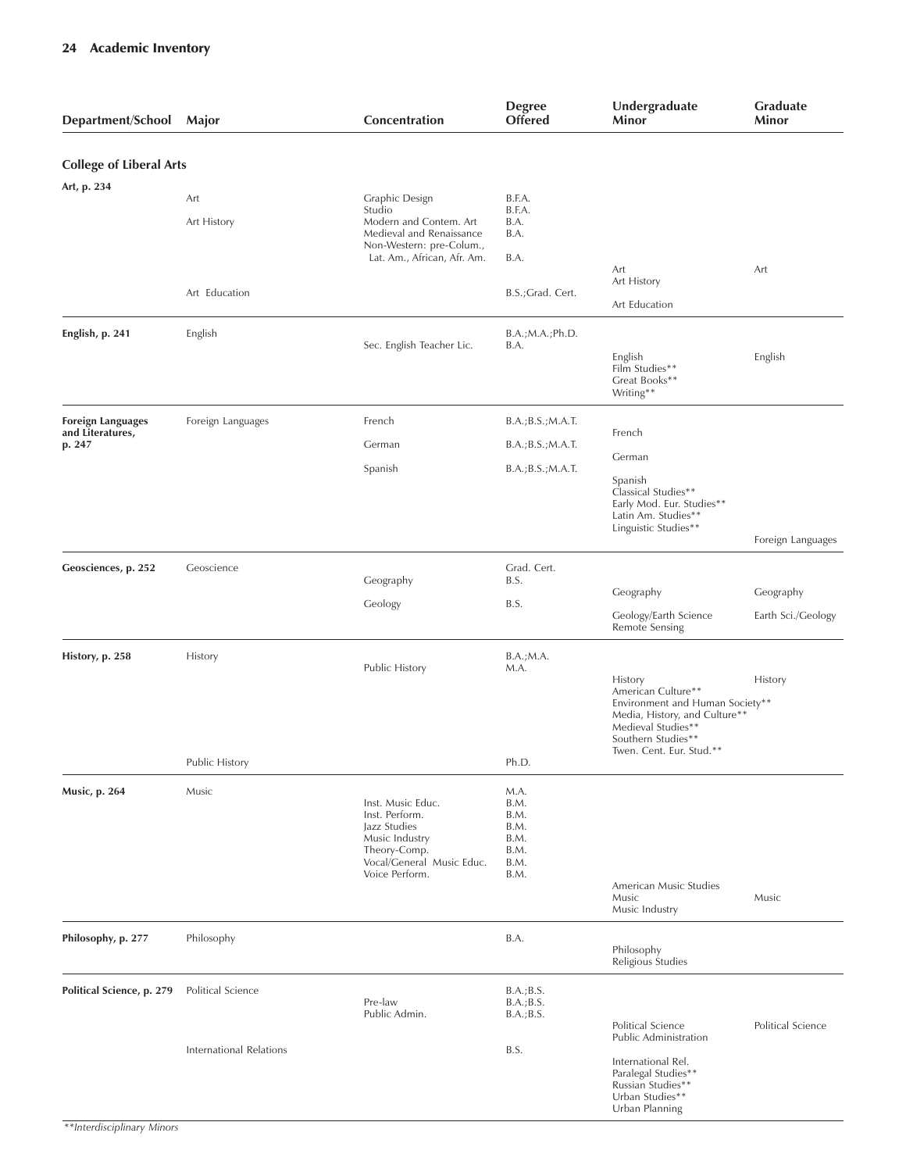| Department/School                                      | Major                                               | Concentration                                                                                                                        | <b>Degree</b><br><b>Offered</b>                                       | Undergraduate<br>Minor                                                                                                                                                    | <b>Graduate</b><br>Minor        |
|--------------------------------------------------------|-----------------------------------------------------|--------------------------------------------------------------------------------------------------------------------------------------|-----------------------------------------------------------------------|---------------------------------------------------------------------------------------------------------------------------------------------------------------------------|---------------------------------|
| <b>College of Liberal Arts</b>                         |                                                     |                                                                                                                                      |                                                                       |                                                                                                                                                                           |                                 |
| Art, p. 234                                            | Art<br>Art History                                  | Graphic Design<br>Studio<br>Modern and Contem. Art<br>Medieval and Renaissance<br>Non-Western: pre-Colum.,                           | B.F.A.<br>B.F.A.<br>B.A.<br>B.A.                                      |                                                                                                                                                                           |                                 |
|                                                        | Art Education                                       | Lat. Am., African, Afr. Am.                                                                                                          | B.A.<br>B.S.; Grad. Cert.                                             | Art<br>Art History<br>Art Education                                                                                                                                       | Art                             |
| English, p. 241                                        | English                                             | Sec. English Teacher Lic.                                                                                                            | B.A.; M.A.; Ph.D.<br>B.A.                                             | English<br>Film Studies**<br>Great Books**<br>Writing**                                                                                                                   | English                         |
| <b>Foreign Languages</b><br>and Literatures,<br>p. 247 | Foreign Languages                                   | French<br>German<br>Spanish                                                                                                          | B.A.; B.S.; M.A.T.<br>B.A.; B.S.; M.A.T.<br>B.A.; B.S.; M.A.T.        | French<br>German<br>Spanish<br>Classical Studies**<br>Early Mod. Eur. Studies**<br>Latin Am. Studies**<br>Linguistic Studies**                                            | Foreign Languages               |
| Geosciences, p. 252                                    | Geoscience                                          | Geography<br>Geology                                                                                                                 | Grad. Cert.<br>B.S.<br>B.S.                                           | Geography<br>Geology/Earth Science<br>Remote Sensing                                                                                                                      | Geography<br>Earth Sci./Geology |
| History, p. 258                                        | History                                             | Public History                                                                                                                       | B.A.; M.A.<br>M.A.                                                    | History<br>American Culture**<br>Environment and Human Society**<br>Media, History, and Culture**<br>Medieval Studies**<br>Southern Studies**<br>Twen. Cent. Eur. Stud.** | History                         |
| Music, p. 264                                          | Public History<br>Music                             | Inst. Music Educ.<br>Inst. Perform.<br>Jazz Studies<br>Music Industry<br>Theory-Comp.<br>Vocal/General Music Educ.<br>Voice Perform. | Ph.D.<br>M.A.<br>B.M.<br>B.M.<br>B.M.<br>B.M.<br>B.M.<br>B.M.<br>B.M. | American Music Studies<br>Music<br>Music Industry                                                                                                                         | Music                           |
| Philosophy, p. 277                                     | Philosophy                                          |                                                                                                                                      | B.A.                                                                  | Philosophy<br>Religious Studies                                                                                                                                           |                                 |
| Political Science, p. 279                              | Political Science<br><b>International Relations</b> | Pre-law<br>Public Admin.                                                                                                             | B.A.; B.S.<br>B.A.; B.S.<br>B.A.; B.S.<br>B.S.                        | Political Science<br>Public Administration                                                                                                                                | Political Science               |
|                                                        |                                                     |                                                                                                                                      |                                                                       | International Rel.<br>Paralegal Studies**<br>Russian Studies**<br>Urban Studies**<br>Urban Planning                                                                       |                                 |